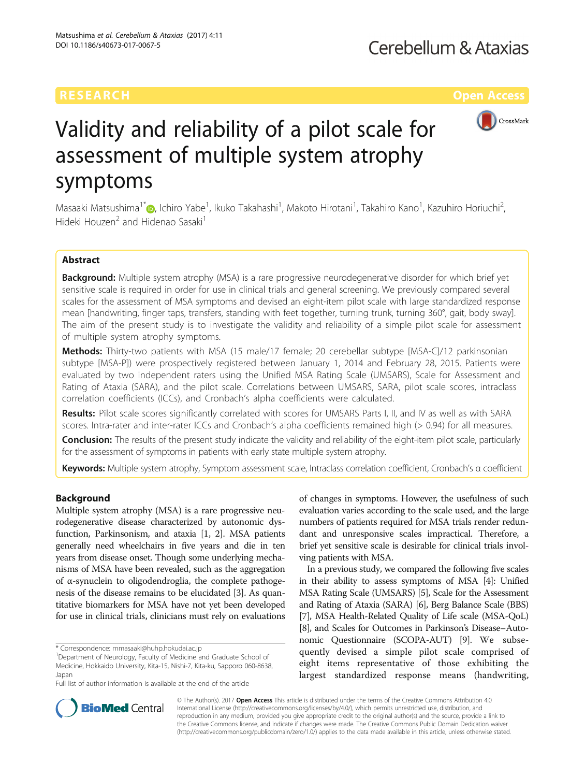

# Validity and reliability of a pilot scale for assessment of multiple system atrophy symptoms

Masaaki Matsushima<sup>1\*</sup>®[,](http://orcid.org/0000-0001-6585-3686) Ichiro Yabe<sup>1</sup>, Ikuko Takahashi<sup>1</sup>, Makoto Hirotani<sup>1</sup>, Takahiro Kano<sup>1</sup>, Kazuhiro Horiuchi<sup>2</sup> , Hideki Houzen<sup>2</sup> and Hidenao Sasaki<sup>1</sup>

# Abstract

Background: Multiple system atrophy (MSA) is a rare progressive neurodegenerative disorder for which brief yet sensitive scale is required in order for use in clinical trials and general screening. We previously compared several scales for the assessment of MSA symptoms and devised an eight-item pilot scale with large standardized response mean [handwriting, finger taps, transfers, standing with feet together, turning trunk, turning 360°, gait, body sway]. The aim of the present study is to investigate the validity and reliability of a simple pilot scale for assessment of multiple system atrophy symptoms.

Methods: Thirty-two patients with MSA (15 male/17 female; 20 cerebellar subtype [MSA-C]/12 parkinsonian subtype [MSA-P]) were prospectively registered between January 1, 2014 and February 28, 2015. Patients were evaluated by two independent raters using the Unified MSA Rating Scale (UMSARS), Scale for Assessment and Rating of Ataxia (SARA), and the pilot scale. Correlations between UMSARS, SARA, pilot scale scores, intraclass correlation coefficients (ICCs), and Cronbach's alpha coefficients were calculated.

Results: Pilot scale scores significantly correlated with scores for UMSARS Parts I, II, and IV as well as with SARA scores. Intra-rater and inter-rater ICCs and Cronbach's alpha coefficients remained high (> 0.94) for all measures.

Conclusion: The results of the present study indicate the validity and reliability of the eight-item pilot scale, particularly for the assessment of symptoms in patients with early state multiple system atrophy.

Keywords: Multiple system atrophy, Symptom assessment scale, Intraclass correlation coefficient, Cronbach's α coefficient

## Background

Multiple system atrophy (MSA) is a rare progressive neurodegenerative disease characterized by autonomic dysfunction, Parkinsonism, and ataxia [[1](#page-5-0), [2\]](#page-5-0). MSA patients generally need wheelchairs in five years and die in ten years from disease onset. Though some underlying mechanisms of MSA have been revealed, such as the aggregation of α-synuclein to oligodendroglia, the complete pathogenesis of the disease remains to be elucidated [[3](#page-5-0)]. As quantitative biomarkers for MSA have not yet been developed for use in clinical trials, clinicians must rely on evaluations

of changes in symptoms. However, the usefulness of such evaluation varies according to the scale used, and the large numbers of patients required for MSA trials render redundant and unresponsive scales impractical. Therefore, a brief yet sensitive scale is desirable for clinical trials involving patients with MSA.

In a previous study, we compared the following five scales in their ability to assess symptoms of MSA [\[4\]](#page-5-0): Unified MSA Rating Scale (UMSARS) [[5](#page-5-0)], Scale for the Assessment and Rating of Ataxia (SARA) [\[6](#page-5-0)], Berg Balance Scale (BBS) [[7](#page-5-0)], MSA Health-Related Quality of Life scale (MSA-QoL) [[8](#page-5-0)], and Scales for Outcomes in Parkinson's Disease–Autonomic Questionnaire (SCOPA-AUT) [\[9\]](#page-5-0). We subsequently devised a simple pilot scale comprised of eight items representative of those exhibiting the largest standardized response means (handwriting,



© The Author(s). 2017 **Open Access** This article is distributed under the terms of the Creative Commons Attribution 4.0 International License [\(http://creativecommons.org/licenses/by/4.0/](http://creativecommons.org/licenses/by/4.0/)), which permits unrestricted use, distribution, and reproduction in any medium, provided you give appropriate credit to the original author(s) and the source, provide a link to the Creative Commons license, and indicate if changes were made. The Creative Commons Public Domain Dedication waiver [\(http://creativecommons.org/publicdomain/zero/1.0/](http://creativecommons.org/publicdomain/zero/1.0/)) applies to the data made available in this article, unless otherwise stated.

<sup>\*</sup> Correspondence: [mmasaaki@huhp.hokudai.ac.jp](mailto:mmasaaki@huhp.hokudai.ac.jp) <sup>1</sup>

<sup>&</sup>lt;sup>1</sup>Department of Neurology, Faculty of Medicine and Graduate School of Medicine, Hokkaido University, Kita-15, Nishi-7, Kita-ku, Sapporo 060-8638, Japan

Full list of author information is available at the end of the article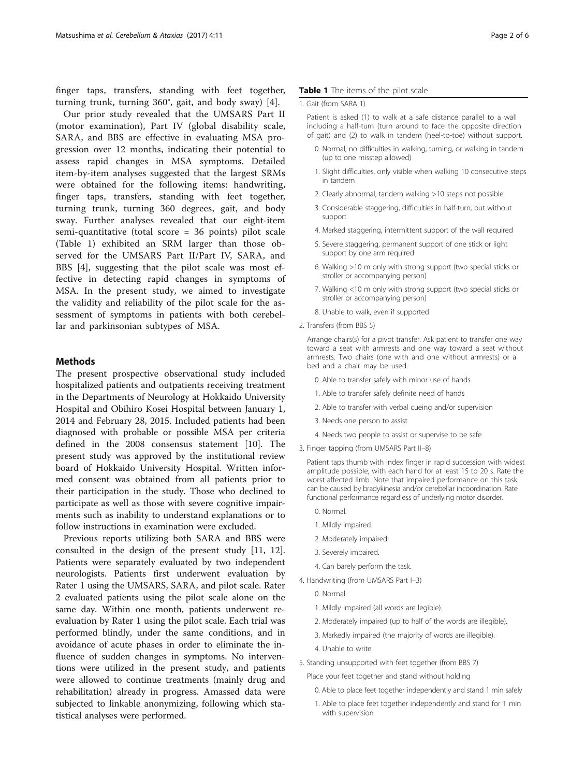finger taps, transfers, standing with feet together, turning trunk, turning 360°, gait, and body sway) [[4\]](#page-5-0).

Our prior study revealed that the UMSARS Part II (motor examination), Part IV (global disability scale, SARA, and BBS are effective in evaluating MSA progression over 12 months, indicating their potential to assess rapid changes in MSA symptoms. Detailed item-by-item analyses suggested that the largest SRMs were obtained for the following items: handwriting, finger taps, transfers, standing with feet together, turning trunk, turning 360 degrees, gait, and body sway. Further analyses revealed that our eight-item semi-quantitative (total score = 36 points) pilot scale (Table 1) exhibited an SRM larger than those observed for the UMSARS Part II/Part IV, SARA, and BBS [[4\]](#page-5-0), suggesting that the pilot scale was most effective in detecting rapid changes in symptoms of MSA. In the present study, we aimed to investigate the validity and reliability of the pilot scale for the assessment of symptoms in patients with both cerebellar and parkinsonian subtypes of MSA.

#### **Methods**

The present prospective observational study included hospitalized patients and outpatients receiving treatment in the Departments of Neurology at Hokkaido University Hospital and Obihiro Kosei Hospital between January 1, 2014 and February 28, 2015. Included patients had been diagnosed with probable or possible MSA per criteria defined in the 2008 consensus statement [[10](#page-5-0)]. The present study was approved by the institutional review board of Hokkaido University Hospital. Written informed consent was obtained from all patients prior to their participation in the study. Those who declined to participate as well as those with severe cognitive impairments such as inability to understand explanations or to follow instructions in examination were excluded.

Previous reports utilizing both SARA and BBS were consulted in the design of the present study [[11](#page-5-0), [12](#page-5-0)]. Patients were separately evaluated by two independent neurologists. Patients first underwent evaluation by Rater 1 using the UMSARS, SARA, and pilot scale. Rater 2 evaluated patients using the pilot scale alone on the same day. Within one month, patients underwent reevaluation by Rater 1 using the pilot scale. Each trial was performed blindly, under the same conditions, and in avoidance of acute phases in order to eliminate the influence of sudden changes in symptoms. No interventions were utilized in the present study, and patients were allowed to continue treatments (mainly drug and rehabilitation) already in progress. Amassed data were subjected to linkable anonymizing, following which statistical analyses were performed.

#### Table 1 The items of the pilot scale

#### 1. Gait (from SARA 1)

Patient is asked (1) to walk at a safe distance parallel to a wall including a half-turn (turn around to face the opposite direction of gait) and (2) to walk in tandem (heel-to-toe) without support.

- 0. Normal, no difficulties in walking, turning, or walking in tandem (up to one misstep allowed)
- 1. Slight difficulties, only visible when walking 10 consecutive steps in tandem
- 2. Clearly abnormal, tandem walking >10 steps not possible
- 3. Considerable staggering, difficulties in half-turn, but without support
- 4. Marked staggering, intermittent support of the wall required
- 5. Severe staggering, permanent support of one stick or light support by one arm required
- 6. Walking >10 m only with strong support (two special sticks or stroller or accompanying person)
- 7. Walking <10 m only with strong support (two special sticks or stroller or accompanying person)
- 8. Unable to walk, even if supported
- 2. Transfers (from BBS 5)

Arrange chairs(s) for a pivot transfer. Ask patient to transfer one way toward a seat with armrests and one way toward a seat without armrests. Two chairs (one with and one without armrests) or a bed and a chair may be used.

- 0. Able to transfer safely with minor use of hands
- 1. Able to transfer safely definite need of hands
- 2. Able to transfer with verbal cueing and/or supervision
- 3. Needs one person to assist
- 4. Needs two people to assist or supervise to be safe
- 3. Finger tapping (from UMSARS Part II–8)

Patient taps thumb with index finger in rapid succession with widest amplitude possible, with each hand for at least 15 to 20 s. Rate the worst affected limb. Note that impaired performance on this task can be caused by bradykinesia and/or cerebellar incoordination. Rate functional performance regardless of underlying motor disorder.

- 0. Normal.
- 1. Mildly impaired.
- 2. Moderately impaired.
- 3. Severely impaired.
- 4. Can barely perform the task.
- 4. Handwriting (from UMSARS Part I–3)
	- 0. Normal
	- 1. Mildly impaired (all words are legible).
	- 2. Moderately impaired (up to half of the words are illegible).
	- 3. Markedly impaired (the majority of words are illegible).
	- 4. Unable to write
- 5. Standing unsupported with feet together (from BBS 7)
	- Place your feet together and stand without holding
		- 0. Able to place feet together independently and stand 1 min safely
		- 1. Able to place feet together independently and stand for 1 min with supervision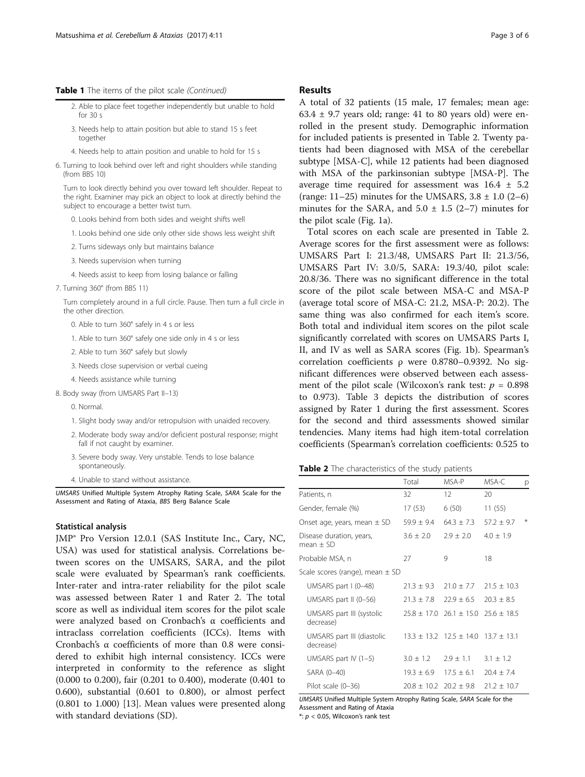#### <span id="page-2-0"></span>Table 1 The items of the pilot scale (Continued)

- 2. Able to place feet together independently but unable to hold for 30 s
- 3. Needs help to attain position but able to stand 15 s feet together
- 4. Needs help to attain position and unable to hold for 15 s
- 6. Turning to look behind over left and right shoulders while standing (from BBS 10)

Turn to look directly behind you over toward left shoulder. Repeat to the right. Examiner may pick an object to look at directly behind the subject to encourage a better twist turn.

- 0. Looks behind from both sides and weight shifts well
- 1. Looks behind one side only other side shows less weight shift
- 2. Turns sideways only but maintains balance
- 3. Needs supervision when turning

4. Needs assist to keep from losing balance or falling

7. Turning 360° (from BBS 11)

Turn completely around in a full circle. Pause. Then turn a full circle in the other direction.

- 0. Able to turn 360° safely in 4 s or less
- 1. Able to turn 360° safely one side only in 4 s or less
- 2. Able to turn 360° safely but slowly
- 3. Needs close supervision or verbal cueing
- 4. Needs assistance while turning

8. Body sway (from UMSARS Part II–13)

- 0. Normal.
- 1. Slight body sway and/or retropulsion with unaided recovery.
- 2. Moderate body sway and/or deficient postural response; might fall if not caught by examiner.
- 3. Severe body sway. Very unstable. Tends to lose balance spontaneously.
- 4. Unable to stand without assistance.

UMSARS Unified Multiple System Atrophy Rating Scale, SARA Scale for the Assessment and Rating of Ataxia, BBS Berg Balance Scale

#### Statistical analysis

JMP® Pro Version 12.0.1 (SAS Institute Inc., Cary, NC, USA) was used for statistical analysis. Correlations between scores on the UMSARS, SARA, and the pilot scale were evaluated by Spearman's rank coefficients. Inter-rater and intra-rater reliability for the pilot scale was assessed between Rater 1 and Rater 2. The total score as well as individual item scores for the pilot scale were analyzed based on Cronbach's α coefficients and intraclass correlation coefficients (ICCs). Items with Cronbach's α coefficients of more than 0.8 were considered to exhibit high internal consistency. ICCs were interpreted in conformity to the reference as slight (0.000 to 0.200), fair (0.201 to 0.400), moderate (0.401 to 0.600), substantial (0.601 to 0.800), or almost perfect (0.801 to 1.000) [[13](#page-5-0)]. Mean values were presented along with standard deviations (SD).

#### Results

A total of 32 patients (15 male, 17 females; mean age:  $63.4 \pm 9.7$  years old; range: 41 to 80 years old) were enrolled in the present study. Demographic information for included patients is presented in Table 2. Twenty patients had been diagnosed with MSA of the cerebellar subtype [MSA-C], while 12 patients had been diagnosed with MSA of the parkinsonian subtype [MSA-P]. The average time required for assessment was  $16.4 \pm 5.2$ (range:  $11-25$ ) minutes for the UMSARS,  $3.8 \pm 1.0$  (2-6) minutes for the SARA, and  $5.0 \pm 1.5$  (2-7) minutes for the pilot scale (Fig. [1a\)](#page-3-0).

Total scores on each scale are presented in Table 2. Average scores for the first assessment were as follows: UMSARS Part I: 21.3/48, UMSARS Part II: 21.3/56, UMSARS Part IV: 3.0/5, SARA: 19.3/40, pilot scale: 20.8/36. There was no significant difference in the total score of the pilot scale between MSA-C and MSA-P (average total score of MSA-C: 21.2, MSA-P: 20.2). The same thing was also confirmed for each item's score. Both total and individual item scores on the pilot scale significantly correlated with scores on UMSARS Parts I, II, and IV as well as SARA scores (Fig. [1b\)](#page-3-0). Spearman's correlation coefficients ρ were 0.8780–0.9392. No significant differences were observed between each assessment of the pilot scale (Wilcoxon's rank test:  $p = 0.898$ to 0.973). Table [3](#page-3-0) depicts the distribution of scores assigned by Rater 1 during the first assessment. Scores for the second and third assessments showed similar tendencies. Many items had high item-total correlation coefficients (Spearman's correlation coefficients: 0.525 to

#### Table 2 The characteristics of the study patients

|                                         | Total         | MSA-P                                           | MSA-C         | р |
|-----------------------------------------|---------------|-------------------------------------------------|---------------|---|
| Patients, n                             | 32            | 12                                              | 20            |   |
| Gender, female (%)                      | 17(53)        | 6(50)                                           | 11(55)        |   |
| Onset age, years, mean $\pm$ SD         | $59.9 + 9.4$  | $643 + 73$                                      | $57.2 + 9.7$  |   |
| Disease duration, years,<br>mean + SD   | $3.6 + 2.0$   | $2.9 + 2.0$                                     | $4.0 + 1.9$   |   |
| Probable MSA, n                         | 27            | 9                                               | 18            |   |
| Scale scores (range), mean $\pm$ SD     |               |                                                 |               |   |
| UMSARS part I (0-48)                    | $21.3 + 9.3$  | $21.0 + 7.7$ $21.5 + 10.3$                      |               |   |
| UMSARS part $II$ (0-56)                 | $21.3 + 7.8$  | $22.9 \pm 6.5$ 20.3 $\pm 8.5$                   |               |   |
| UMSARS part III (systolic<br>decrease)  |               | $25.8 \pm 17.0$ 26.1 $\pm$ 15.0 25.6 $\pm$ 18.5 |               |   |
| UMSARS part III (diastolic<br>decrease) |               | $13.3 \pm 13.2$ $12.5 \pm 14.0$ $13.7 \pm 13.1$ |               |   |
| UMSARS part IV $(1-5)$                  | $3.0 \pm 1.2$ | $2.9 + 1.1$                                     | $3.1 + 1.2$   |   |
| SARA (0-40)                             |               | $19.3 \pm 6.9$ $17.5 \pm 6.1$                   | $70.4 + 7.4$  |   |
| Pilot scale (0-36)                      |               | $20.8 + 10.2$ $20.2 + 9.8$                      | $21.2 + 10.7$ |   |

UMSARS Unified Multiple System Atrophy Rating Scale, SARA Scale for the Assessment and Rating of Ataxia

 $*: p < 0.05$ , Wilcoxon's rank test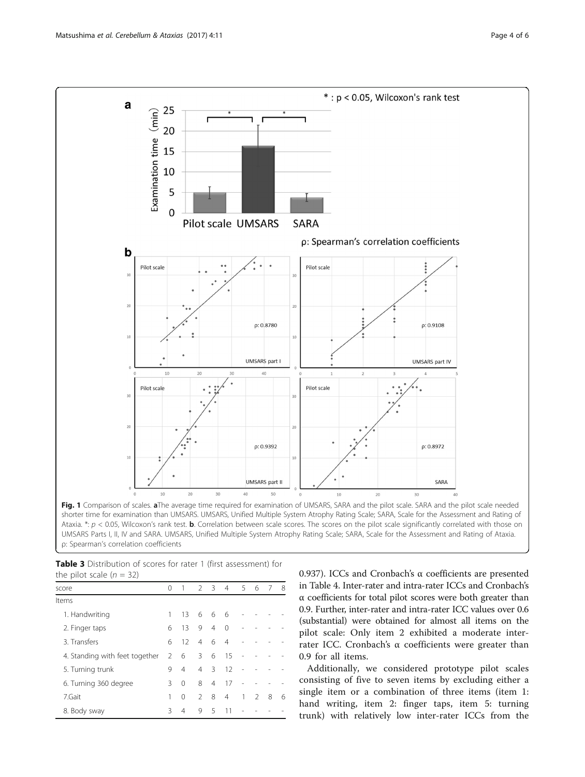<span id="page-3-0"></span>

Ataxia.  $* : p < 0.05$ , Wilcoxon's rank test. **b**. Correlation between scale scores. The scores on the pilot scale significantly correlated with those on UMSARS Parts I, II, IV and SARA. UMSARS, Unified Multiple System Atrophy Rating Scale; SARA, Scale for the Assessment and Rating of Ataxia. ρ: Spearman's correlation coefficients

| the pilot scale $(n = 32)$     |               |          |               |                  |                |   |               |   |   |
|--------------------------------|---------------|----------|---------------|------------------|----------------|---|---------------|---|---|
| score                          | ∩             | 1        |               | $2 \overline{3}$ | $\overline{4}$ |   | 5 6           | 7 | 8 |
| Items                          |               |          |               |                  |                |   |               |   |   |
| 1. Handwriting                 |               | 13       | 66            |                  | - 6            |   |               |   |   |
| 2. Finger taps                 | 6             | 13       | 9             | $\overline{4}$   | $\Omega$       |   |               |   |   |
| 3. Transfers                   | 6             | 12       |               | $4\overline{6}$  | 4              |   |               |   |   |
| 4. Standing with feet together | $\mathcal{P}$ | 6        | 3             | 6                | 15             |   |               |   |   |
| 5. Turning trunk               | 9             | 4        |               | $4 \quad 3$      | 12             |   |               |   |   |
| 6. Turning 360 degree          | Β             | $\Omega$ | 8             | 4                | 17             |   |               |   |   |
| 7.Gait                         |               | 0        | $\mathcal{P}$ | 8                | $\overline{4}$ | 1 | $\mathcal{L}$ | 8 | 6 |
| 8. Body sway                   | Κ             | 4        | 9             | 5                | 11             |   |               |   |   |

Table 3 Distribution of scores for rater 1 (first assessment) for the pilot scale  $(n = 32)$ 

0.937). ICCs and Cronbach's α coefficients are presented in Table [4](#page-4-0). Inter-rater and intra-rater ICCs and Cronbach's α coefficients for total pilot scores were both greater than 0.9. Further, inter-rater and intra-rater ICC values over 0.6 (substantial) were obtained for almost all items on the pilot scale: Only item 2 exhibited a moderate interrater ICC. Cronbach's α coefficients were greater than 0.9 for all items.

Additionally, we considered prototype pilot scales consisting of five to seven items by excluding either a single item or a combination of three items (item 1: hand writing, item 2: finger taps, item 5: turning trunk) with relatively low inter-rater ICCs from the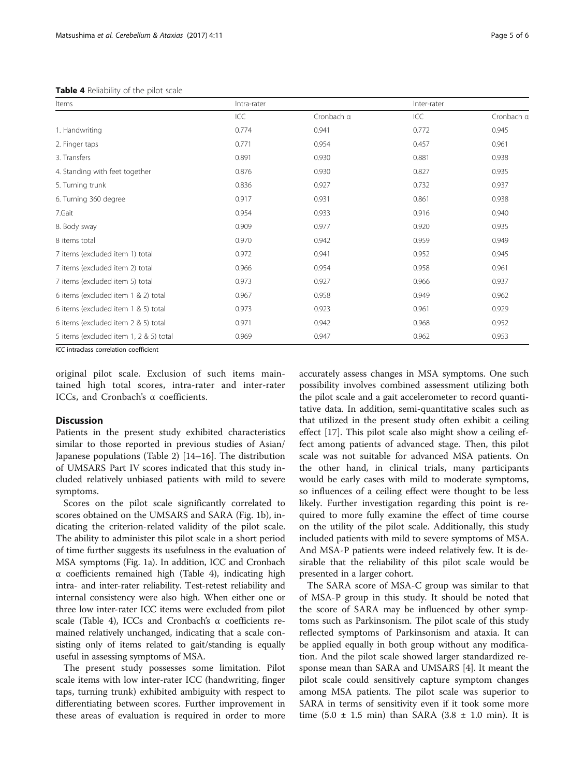<span id="page-4-0"></span>Table 4 Reliability of the pilot scale

| Page 5 of |  |
|-----------|--|
|           |  |

| Items                                  | Intra-rater |            | Inter-rater |            |  |
|----------------------------------------|-------------|------------|-------------|------------|--|
|                                        | ICC         | Cronbach a | ICC         | Cronbach a |  |
| 1. Handwriting                         | 0.774       | 0.941      | 0.772       | 0.945      |  |
| 2. Finger taps                         | 0.771       | 0.954      | 0.457       | 0.961      |  |
| 3. Transfers                           | 0.891       | 0.930      | 0.881       | 0.938      |  |
| 4. Standing with feet together         | 0.876       | 0.930      | 0.827       | 0.935      |  |
| 5. Turning trunk                       | 0.836       | 0.927      | 0.732       | 0.937      |  |
| 6. Turning 360 degree                  | 0.917       | 0.931      | 0.861       | 0.938      |  |
| 7.Gait                                 | 0.954       | 0.933      | 0.916       | 0.940      |  |
| 8. Body sway                           | 0.909       | 0.977      | 0.920       | 0.935      |  |
| 8 items total                          | 0.970       | 0.942      | 0.959       | 0.949      |  |
| 7 items (excluded item 1) total        | 0.972       | 0.941      | 0.952       | 0.945      |  |
| 7 items (excluded item 2) total        | 0.966       | 0.954      | 0.958       | 0.961      |  |
| 7 items (excluded item 5) total        | 0.973       | 0.927      | 0.966       | 0.937      |  |
| 6 items (excluded item 1 & 2) total    | 0.967       | 0.958      | 0.949       | 0.962      |  |
| 6 items (excluded item 1 & 5) total    | 0.973       | 0.923      | 0.961       | 0.929      |  |
| 6 items (excluded item 2 & 5) total    | 0.971       | 0.942      | 0.968       | 0.952      |  |
| 5 items (excluded item 1, 2 & 5) total | 0.969       | 0.947      | 0.962       | 0.953      |  |

ICC intraclass correlation coefficient

original pilot scale. Exclusion of such items maintained high total scores, intra-rater and inter-rater ICCs, and Cronbach's α coefficients.

#### Discussion

Patients in the present study exhibited characteristics similar to those reported in previous studies of Asian/ Japanese populations (Table [2\)](#page-2-0) [\[14](#page-5-0)–[16\]](#page-5-0). The distribution of UMSARS Part IV scores indicated that this study included relatively unbiased patients with mild to severe symptoms.

Scores on the pilot scale significantly correlated to scores obtained on the UMSARS and SARA (Fig. [1b\)](#page-3-0), indicating the criterion-related validity of the pilot scale. The ability to administer this pilot scale in a short period of time further suggests its usefulness in the evaluation of MSA symptoms (Fig. [1a\)](#page-3-0). In addition, ICC and Cronbach α coefficients remained high (Table 4), indicating high intra- and inter-rater reliability. Test-retest reliability and internal consistency were also high. When either one or three low inter-rater ICC items were excluded from pilot scale (Table 4), ICCs and Cronbach's α coefficients remained relatively unchanged, indicating that a scale consisting only of items related to gait/standing is equally useful in assessing symptoms of MSA.

The present study possesses some limitation. Pilot scale items with low inter-rater ICC (handwriting, finger taps, turning trunk) exhibited ambiguity with respect to differentiating between scores. Further improvement in these areas of evaluation is required in order to more accurately assess changes in MSA symptoms. One such possibility involves combined assessment utilizing both the pilot scale and a gait accelerometer to record quantitative data. In addition, semi-quantitative scales such as that utilized in the present study often exhibit a ceiling effect [[17](#page-5-0)]. This pilot scale also might show a ceiling effect among patients of advanced stage. Then, this pilot scale was not suitable for advanced MSA patients. On the other hand, in clinical trials, many participants would be early cases with mild to moderate symptoms, so influences of a ceiling effect were thought to be less likely. Further investigation regarding this point is required to more fully examine the effect of time course on the utility of the pilot scale. Additionally, this study included patients with mild to severe symptoms of MSA. And MSA-P patients were indeed relatively few. It is desirable that the reliability of this pilot scale would be presented in a larger cohort.

The SARA score of MSA-C group was similar to that of MSA-P group in this study. It should be noted that the score of SARA may be influenced by other symptoms such as Parkinsonism. The pilot scale of this study reflected symptoms of Parkinsonism and ataxia. It can be applied equally in both group without any modification. And the pilot scale showed larger standardized response mean than SARA and UMSARS [\[4](#page-5-0)]. It meant the pilot scale could sensitively capture symptom changes among MSA patients. The pilot scale was superior to SARA in terms of sensitivity even if it took some more time  $(5.0 \pm 1.5 \text{ min})$  than SARA  $(3.8 \pm 1.0 \text{ min})$ . It is